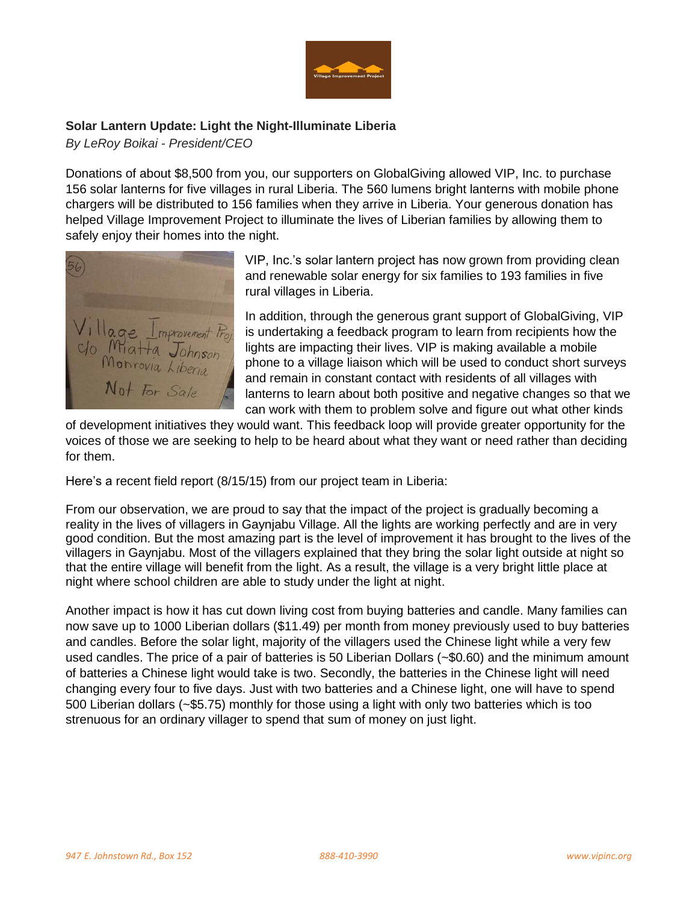

## **Solar Lantern Update: Light the Night-Illuminate Liberia**

*By LeRoy Boikai - President/CEO*

Donations of about \$8,500 from you, our supporters on GlobalGiving allowed VIP, Inc. to purchase 156 solar lanterns for five villages in rural Liberia. The 560 lumens bright lanterns with mobile phone chargers will be distributed to 156 families when they arrive in Liberia. Your generous donation has helped Village Improvement Project to illuminate the lives of Liberian families by allowing them to safely enjoy their homes into the night.



VIP, Inc.'s solar lantern project has now grown from providing clean and renewable solar energy for six families to 193 families in five rural villages in Liberia.

In addition, through the generous grant support of GlobalGiving, VIP is undertaking a feedback program to learn from recipients how the lights are impacting their lives. VIP is making available a mobile phone to a village liaison which will be used to conduct short surveys and remain in constant contact with residents of all villages with lanterns to learn about both positive and negative changes so that we can work with them to problem solve and figure out what other kinds

of development initiatives they would want. This feedback loop will provide greater opportunity for the voices of those we are seeking to help to be heard about what they want or need rather than deciding for them.

Here's a recent field report (8/15/15) from our project team in Liberia:

From our observation, we are proud to say that the impact of the project is gradually becoming a reality in the lives of villagers in Gaynjabu Village. All the lights are working perfectly and are in very good condition. But the most amazing part is the level of improvement it has brought to the lives of the villagers in Gaynjabu. Most of the villagers explained that they bring the solar light outside at night so that the entire village will benefit from the light. As a result, the village is a very bright little place at night where school children are able to study under the light at night.

Another impact is how it has cut down living cost from buying batteries and candle. Many families can now save up to 1000 Liberian dollars (\$11.49) per month from money previously used to buy batteries and candles. Before the solar light, majority of the villagers used the Chinese light while a very few used candles. The price of a pair of batteries is 50 Liberian Dollars (~\$0.60) and the minimum amount of batteries a Chinese light would take is two. Secondly, the batteries in the Chinese light will need changing every four to five days. Just with two batteries and a Chinese light, one will have to spend 500 Liberian dollars (~\$5.75) monthly for those using a light with only two batteries which is too strenuous for an ordinary villager to spend that sum of money on just light.